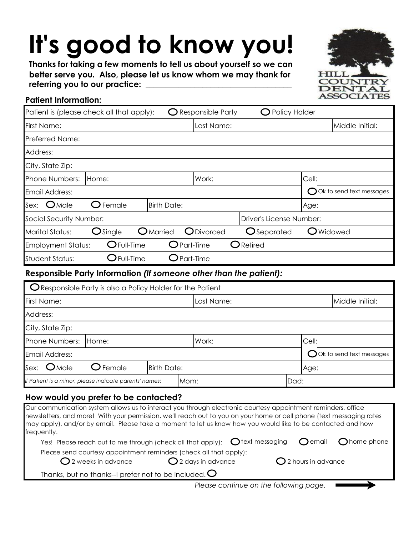# **It's good to know you!**

**Thanks for taking a few moments to tell us about yourself so we can better serve you. Also, please let us know whom we may thank for**  referring you to our practice:



# **Patient Information:**

| Patient is (please check all that apply):                          | <b>Responsible Party</b>        | Policy Holder            |                  |                                     |  |
|--------------------------------------------------------------------|---------------------------------|--------------------------|------------------|-------------------------------------|--|
| First Name:                                                        | Last Name:                      |                          |                  | Middle Initial:                     |  |
| Preferred Name:                                                    |                                 |                          |                  |                                     |  |
| Address:                                                           |                                 |                          |                  |                                     |  |
| City, State Zip:                                                   |                                 |                          |                  |                                     |  |
| Phone Numbers:<br>Home:                                            | Work:                           |                          | Cell:            |                                     |  |
| Email Address:                                                     |                                 |                          |                  | $\bigcirc$ Ok to send text messages |  |
| $\bigcirc$ Female<br>Sex:<br>$O$ Male<br><b>Birth Date:</b>        |                                 |                          | Age:             |                                     |  |
| Social Security Number:                                            |                                 | Driver's License Number: |                  |                                     |  |
| $\bigcirc$ Single<br><b>Marital Status:</b><br>$O$ Married         | ODivorced                       | <b>O</b> Separated       | <b>O</b> Widowed |                                     |  |
| $O$ Full-Time<br><b>Employment Status:</b>                         | $Q$ Part-Time                   | $\bigcirc$ Retired       |                  |                                     |  |
| $\mathbf C$ Full-Time<br><b>Student Status:</b>                    | $\mathop{\mathsf{O}}$ Part-Time |                          |                  |                                     |  |
| Responsible Party Information (If someone other than the patient): |                                 |                          |                  |                                     |  |
| O Responsible Party is also a Policy Holder for the Patient        |                                 |                          |                  |                                     |  |
| First Name:<br>Last Name:                                          |                                 |                          | Middle Initial:  |                                     |  |
| Address:                                                           |                                 |                          |                  |                                     |  |
| City, State Zip:                                                   |                                 |                          |                  |                                     |  |
| Phone Numbers:<br>Home:                                            | Work:                           |                          |                  | Cell:                               |  |
| Email Address:                                                     |                                 |                          |                  | $\bigcirc$ Ok to send text messages |  |
| Sex:<br>$O$ Male<br>Female<br><b>Birth Date:</b>                   |                                 |                          | Age:             |                                     |  |

# **How would you prefer to be contacted?**

| Our communication system allows us to interact you through electronic courtesy appointment reminders, office<br>newsletters, and more! With your permission, we'll reach out to you on your home or cell phone (text messaging rates<br>may apply), and/or by email. Please take a moment to let us know how you would like to be contacted and how<br>frequently. |                              |                        |  |
|--------------------------------------------------------------------------------------------------------------------------------------------------------------------------------------------------------------------------------------------------------------------------------------------------------------------------------------------------------------------|------------------------------|------------------------|--|
| Yes! Please reach out to me through (check all that apply): $\bigcirc$ text messaging $\bigcirc$ email $\bigcirc$ home phone                                                                                                                                                                                                                                       |                              |                        |  |
| Please send courtesy appointment reminders (check all that apply):<br>$\bigcirc$ 2 weeks in advance                                                                                                                                                                                                                                                                | $\bigcirc$ 2 days in advance | $Q$ 2 hours in advance |  |
| Thanks, but no thanks--I prefer not to be included. $\bigcirc$                                                                                                                                                                                                                                                                                                     |                              |                        |  |
| Please continue on the following page.                                                                                                                                                                                                                                                                                                                             |                              |                        |  |

*If Patient is a minor, please indicate parents' names:* Mom: Now the set of Dad: